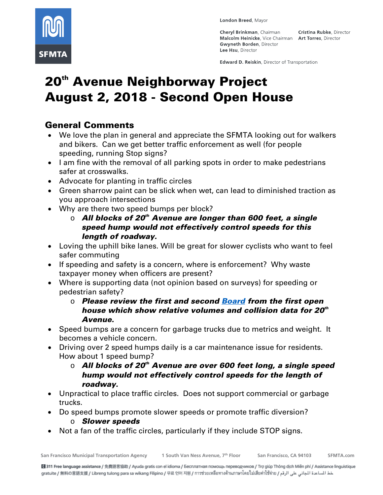

London Breed, Mayor

**Cheryl Brinkman, Chairman** Malcolm Heinicke, Vice Chairman Art Torres, Director **Gwyneth Borden, Director** Lee Hsu. Director

Cristina Rubke, Director

Edward D. Reiskin, Director of Transportation

# 20<sup>th</sup> Avenue Neighborway Project August 2, 2018 - Second Open House

## General Comments

- We love the plan in general and appreciate the SFMTA looking out for walkers and bikers. Can we get better traffic enforcement as well (for people speeding, running Stop signs?
- I am fine with the removal of all parking spots in order to make pedestrians safer at crosswalks.
- Advocate for planting in traffic circles
- Green sharrow paint can be slick when wet, can lead to diminished traction as you approach intersections
- Why are there two speed bumps per block?
	- o *All blocks of 20th Avenue are longer than 600 feet, a single speed hump would not effectively control speeds for this length of roadway.*
- Loving the uphill bike lanes. Will be great for slower cyclists who want to feel safer commuting
- If speeding and safety is a concern, where is enforcement? Why waste taxpayer money when officers are present?
- Where is supporting data (not opinion based on surveys) for speeding or pedestrian safety?
	- o *Please review the first and second [Board](https://www.sfmta.com/reports/20th-avenue-neighborway-open-house-boards) from the first open house which show relative volumes and collision data for 20th Avenue.*
- Speed bumps are a concern for garbage trucks due to metrics and weight. It becomes a vehicle concern.
- Driving over 2 speed humps daily is a car maintenance issue for residents. How about 1 speed bump?
	- o *All blocks of 20th Avenue are over 600 feet long, a single speed hump would not effectively control speeds for the length of roadway.*
- Unpractical to place traffic circles. Does not support commercial or garbage trucks.
- Do speed bumps promote slower speeds or promote traffic diversion? o *Slower speeds*
- Not a fan of the traffic circles, particularly if they include STOP signs.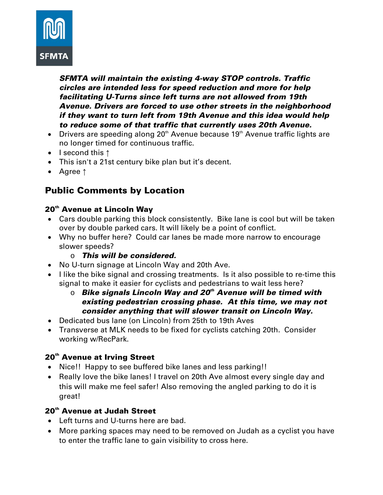

*SFMTA will maintain the existing 4-way STOP controls. Traffic circles are intended less for speed reduction and more for help facilitating U-Turns since left turns are not allowed from 19th Avenue. Drivers are forced to use other streets in the neighborhood if they want to turn left from 19th Avenue and this idea would help to reduce some of that traffic that currently uses 20th Avenue.*

- Drivers are speeding along  $20<sup>th</sup>$  Avenue because  $19<sup>th</sup>$  Avenue traffic lights are no longer timed for continuous traffic.
- I second this ↑
- This isn't a 21st century bike plan but it's decent.
- Agree ↑

## Public Comments by Location

#### 20<sup>th</sup> Avenue at Lincoln Way

- Cars double parking this block consistently. Bike lane is cool but will be taken over by double parked cars. It will likely be a point of conflict.
- Why no buffer here? Could car lanes be made more narrow to encourage slower speeds?
	- o *This will be considered.*
- No U-turn signage at Lincoln Way and 20th Ave.
- I like the bike signal and crossing treatments. Is it also possible to re-time this signal to make it easier for cyclists and pedestrians to wait less here?
	- o *Bike signals Lincoln Way and 20th Avenue will be timed with existing pedestrian crossing phase. At this time, we may not consider anything that will slower transit on Lincoln Way.*
- Dedicated bus lane (on Lincoln) from 25th to 19th Aves
- Transverse at MLK needs to be fixed for cyclists catching 20th. Consider working w/RecPark.

#### 20<sup>th</sup> Avenue at Irving Street

- Nice!! Happy to see buffered bike lanes and less parking!!
- Really love the bike lanes! I travel on 20th Ave almost every single day and this will make me feel safer! Also removing the angled parking to do it is great!

#### 20<sup>th</sup> Avenue at Judah Street

- Left turns and U-turns here are bad.
- More parking spaces may need to be removed on Judah as a cyclist you have to enter the traffic lane to gain visibility to cross here.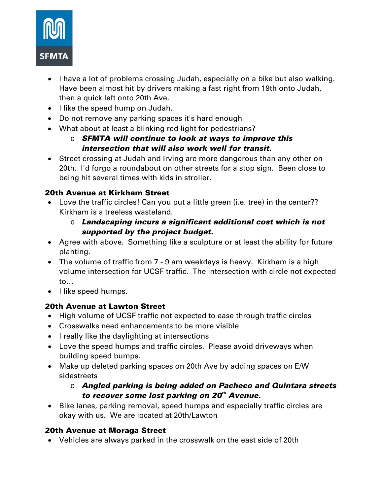

- I have a lot of problems crossing Judah, especially on a bike but also walking. Have been almost hit by drivers making a fast right from 19th onto Judah, then a quick left onto 20th Ave.
- I like the speed hump on Judah.
- Do not remove any parking spaces it's hard enough
- What about at least a blinking red light for pedestrians?
	- o *SFMTA will continue to look at ways to improve this intersection that will also work well for transit.*
- Street crossing at Judah and Irving are more dangerous than any other on 20th. I'd forgo a roundabout on other streets for a stop sign. Been close to being hit several times with kids in stroller.

## 20th Avenue at Kirkham Street

- Love the traffic circles! Can you put a little green (i.e. tree) in the center?? Kirkham is a treeless wasteland.
	- o *Landscaping incurs a significant additional cost which is not supported by the project budget.*
- Agree with above. Something like a sculpture or at least the ability for future planting.
- The volume of traffic from 7 9 am weekdays is heavy. Kirkham is a high volume intersection for UCSF traffic. The intersection with circle not expected to…
- I like speed humps.

## 20th Avenue at Lawton Street

- High volume of UCSF traffic not expected to ease through traffic circles
- Crosswalks need enhancements to be more visible
- I really like the daylighting at intersections
- Love the speed humps and traffic circles. Please avoid driveways when building speed bumps.
- Make up deleted parking spaces on 20th Ave by adding spaces on E/W sidestreets

## o *Angled parking is being added on Pacheco and Quintara streets to recover some lost parking on 20th Avenue.*

• Bike lanes, parking removal, speed humps and especially traffic circles are okay with us. We are located at 20th/Lawton

## 20th Avenue at Moraga Street

• Vehicles are always parked in the crosswalk on the east side of 20th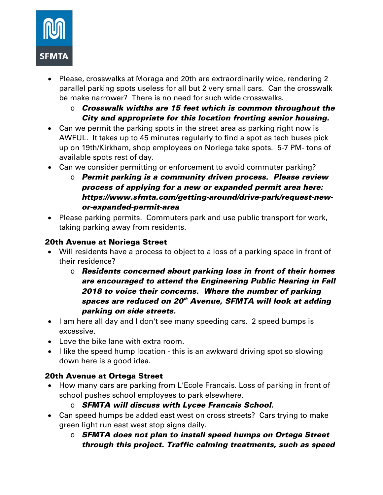

- Please, crosswalks at Moraga and 20th are extraordinarily wide, rendering 2 parallel parking spots useless for all but 2 very small cars. Can the crosswalk be make narrower? There is no need for such wide crosswalks.
	- o *Crosswalk widths are 15 feet which is common throughout the City and appropriate for this location fronting senior housing.*
- Can we permit the parking spots in the street area as parking right now is AWFUL. It takes up to 45 minutes regularly to find a spot as tech buses pick up on 19th/Kirkham, shop employees on Noriega take spots. 5-7 PM- tons of available spots rest of day.
- Can we consider permitting or enforcement to avoid commuter parking?
	- o *Permit parking is a community driven process. Please review process of applying for a new or expanded permit area here: https://www.sfmta.com/getting-around/drive-park/request-newor-expanded-permit-area*
- Please parking permits. Commuters park and use public transport for work, taking parking away from residents.

#### 20th Avenue at Noriega Street

- Will residents have a process to object to a loss of a parking space in front of their residence?
	- o *Residents concerned about parking loss in front of their homes are encouraged to attend the Engineering Public Hearing in Fall 2018 to voice their concerns. Where the number of parking spaces are reduced on 20th Avenue, SFMTA will look at adding parking on side streets.*
- I am here all day and I don't see many speeding cars. 2 speed bumps is excessive.
- Love the bike lane with extra room.
- I like the speed hump location this is an awkward driving spot so slowing down here is a good idea.

## 20th Avenue at Ortega Street

- How many cars are parking from L'Ecole Francais. Loss of parking in front of school pushes school employees to park elsewhere.
	- o *SFMTA will discuss with Lycee Francais School.*
- Can speed humps be added east west on cross streets? Cars trying to make green light run east west stop signs daily.
	- o *SFMTA does not plan to install speed humps on Ortega Street through this project. Traffic calming treatments, such as speed*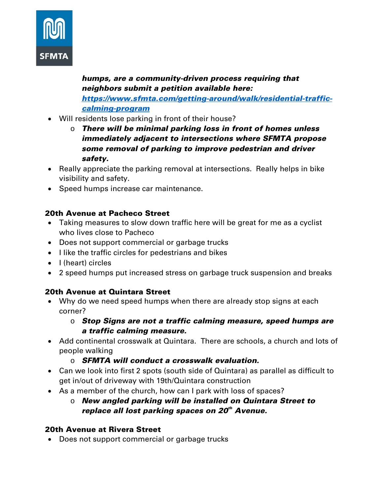

*humps, are a community-driven process requiring that neighbors submit a petition available here: [https://www.sfmta.com/getting-around/walk/residential-traffic](https://www.sfmta.com/getting-around/walk/residential-traffic-calming-program)[calming-program](https://www.sfmta.com/getting-around/walk/residential-traffic-calming-program)*

- Will residents lose parking in front of their house?
	- o *There will be minimal parking loss in front of homes unless immediately adjacent to intersections where SFMTA propose some removal of parking to improve pedestrian and driver safety.*
- Really appreciate the parking removal at intersections. Really helps in bike visibility and safety.
- Speed humps increase car maintenance.

## 20th Avenue at Pacheco Street

- Taking measures to slow down traffic here will be great for me as a cyclist who lives close to Pacheco
- Does not support commercial or garbage trucks
- I like the traffic circles for pedestrians and bikes
- I (heart) circles
- 2 speed humps put increased stress on garbage truck suspension and breaks

## 20th Avenue at Quintara Street

- Why do we need speed humps when there are already stop signs at each corner?
	- o *Stop Signs are not a traffic calming measure, speed humps are a traffic calming measure.*
- Add continental crosswalk at Quintara. There are schools, a church and lots of people walking
	- o *SFMTA will conduct a crosswalk evaluation.*
- Can we look into first 2 spots (south side of Quintara) as parallel as difficult to get in/out of driveway with 19th/Quintara construction
- As a member of the church, how can I park with loss of spaces?
	- o *New angled parking will be installed on Quintara Street to replace all lost parking spaces on 20th Avenue.*

## 20th Avenue at Rivera Street

• Does not support commercial or garbage trucks